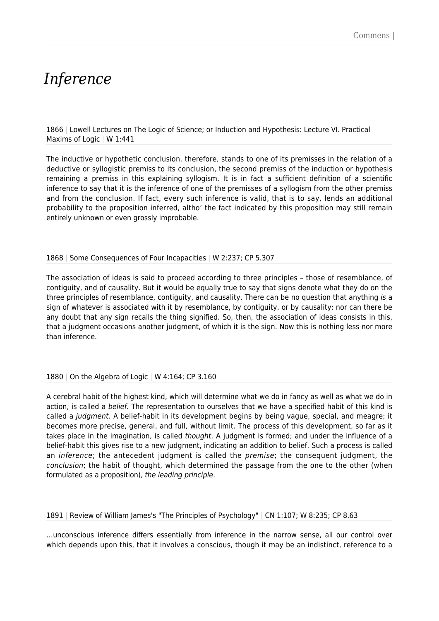# *Inference*

1866 | Lowell Lectures on The Logic of Science; or Induction and Hypothesis: Lecture VI. Practical Maxims of Logic | W 1:441

The inductive or hypothetic conclusion, therefore, stands to one of its premisses in the relation of a deductive or syllogistic premiss to its conclusion, the second premiss of the induction or hypothesis remaining a premiss in this explaining syllogism. It is in fact a sufficient definition of a scientific inference to say that it is the inference of one of the premisses of a syllogism from the other premiss and from the conclusion. If fact, every such inference is valid, that is to say, lends an additional probability to the proposition inferred, altho' the fact indicated by this proposition may still remain entirely unknown or even grossly improbable.

# 1868 | Some Consequences of Four Incapacities | W 2:237; CP 5.307

The association of ideas is said to proceed according to three principles – those of resemblance, of contiguity, and of causality. But it would be equally true to say that signs denote what they do on the three principles of resemblance, contiguity, and causality. There can be no question that anything is a sign of whatever is associated with it by resemblance, by contiguity, or by causality: nor can there be any doubt that any sign recalls the thing signified. So, then, the association of ideas consists in this, that a judgment occasions another judgment, of which it is the sign. Now this is nothing less nor more than inference.

# 1880 | On the Algebra of Logic | W 4:164; CP 3.160

A cerebral habit of the highest kind, which will determine what we do in fancy as well as what we do in action, is called a belief. The representation to ourselves that we have a specified habit of this kind is called a judgment. A belief-habit in its development begins by being vague, special, and meagre; it becomes more precise, general, and full, without limit. The process of this development, so far as it takes place in the imagination, is called thought. A judgment is formed; and under the influence of a belief-habit this gives rise to a new judgment, indicating an addition to belief. Such a process is called an inference; the antecedent judgment is called the premise; the consequent judgment, the conclusion; the habit of thought, which determined the passage from the one to the other (when formulated as a proposition), the leading principle.

1891 | Review of William James's "The Principles of Psychology" | CN 1:107; W 8:235; CP 8.63

…unconscious inference differs essentially from inference in the narrow sense, all our control over which depends upon this, that it involves a conscious, though it may be an indistinct, reference to a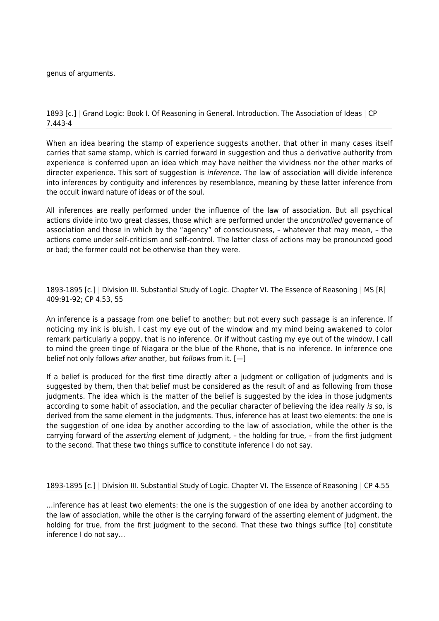genus of arguments.

1893 [c.] | Grand Logic: Book I. Of Reasoning in General. Introduction. The Association of Ideas | CP 7.443-4

When an idea bearing the stamp of experience suggests another, that other in many cases itself carries that same stamp, which is carried forward in suggestion and thus a derivative authority from experience is conferred upon an idea which may have neither the vividness nor the other marks of directer experience. This sort of suggestion is *inference*. The law of association will divide inference into inferences by contiguity and inferences by resemblance, meaning by these latter inference from the occult inward nature of ideas or of the soul.

All inferences are really performed under the influence of the law of association. But all psychical actions divide into two great classes, those which are performed under the *uncontrolled* governance of association and those in which by the "agency" of consciousness, – whatever that may mean, – the actions come under self-criticism and self-control. The latter class of actions may be pronounced good or bad; the former could not be otherwise than they were.

1893-1895 [c.] | Division III. Substantial Study of Logic. Chapter VI. The Essence of Reasoning | MS [R] 409:91-92; CP 4.53, 55

An inference is a passage from one belief to another; but not every such passage is an inference. If noticing my ink is bluish, I cast my eye out of the window and my mind being awakened to color remark particularly a poppy, that is no inference. Or if without casting my eye out of the window, I call to mind the green tinge of Niagara or the blue of the Rhone, that is no inference. In inference one belief not only follows after another, but follows from it.  $[-]$ 

If a belief is produced for the first time directly after a judgment or colligation of judgments and is suggested by them, then that belief must be considered as the result of and as following from those judgments. The idea which is the matter of the belief is suggested by the idea in those judgments according to some habit of association, and the peculiar character of believing the idea really is so, is derived from the same element in the judgments. Thus, inference has at least two elements: the one is the suggestion of one idea by another according to the law of association, while the other is the carrying forward of the asserting element of judgment, – the holding for true, – from the first judgment to the second. That these two things suffice to constitute inference I do not say.

1893-1895 [c.] | Division III. Substantial Study of Logic. Chapter VI. The Essence of Reasoning | CP 4.55

…inference has at least two elements: the one is the suggestion of one idea by another according to the law of association, while the other is the carrying forward of the asserting element of judgment, the holding for true, from the first judgment to the second. That these two things suffice [to] constitute inference I do not say…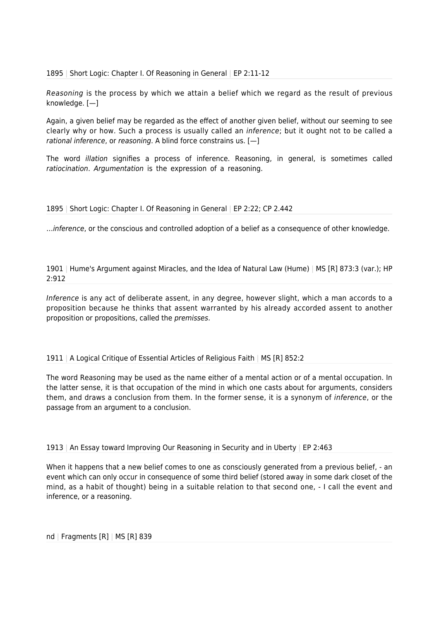# 1895 | Short Logic: Chapter I. Of Reasoning in General | EP 2:11-12

Reasoning is the process by which we attain a belief which we regard as the result of previous knowledge. [—]

Again, a given belief may be regarded as the effect of another given belief, without our seeming to see clearly why or how. Such a process is usually called an inference; but it ought not to be called a rational inference, or reasoning. A blind force constrains us.  $[-]$ 

The word illation signifies a process of inference. Reasoning, in general, is sometimes called ratiocination. Argumentation is the expression of a reasoning.

# 1895 | Short Logic: Chapter I. Of Reasoning in General | EP 2:22; CP 2.442

…inference, or the conscious and controlled adoption of a belief as a consequence of other knowledge.

1901 | Hume's Argument against Miracles, and the Idea of Natural Law (Hume) | MS [R] 873:3 (var.); HP 2:912

Inference is any act of deliberate assent, in any degree, however slight, which a man accords to a proposition because he thinks that assent warranted by his already accorded assent to another proposition or propositions, called the premisses.

# 1911 | A Logical Critique of Essential Articles of Religious Faith | MS [R] 852:2

The word Reasoning may be used as the name either of a mental action or of a mental occupation. In the latter sense, it is that occupation of the mind in which one casts about for arguments, considers them, and draws a conclusion from them. In the former sense, it is a synonym of *inference*, or the passage from an argument to a conclusion.

1913 | An Essay toward Improving Our Reasoning in Security and in Uberty | EP 2:463

When it happens that a new belief comes to one as consciously generated from a previous belief, - an event which can only occur in consequence of some third belief (stored away in some dark closet of the mind, as a habit of thought) being in a suitable relation to that second one, - I call the event and inference, or a reasoning.